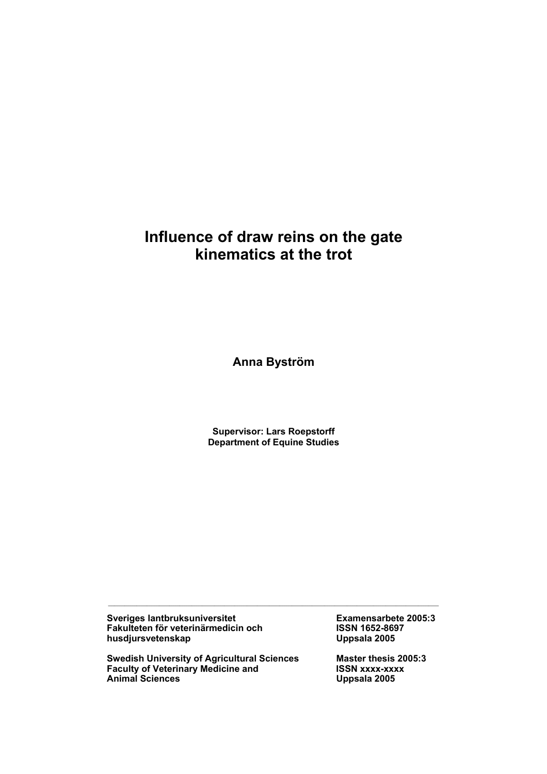# **Influence of draw reins on the gate kinematics at the trot**

**Anna Byström** 

**Supervisor: Lars Roepstorff Department of Equine Studies** 

 $\mathcal{L}_\text{max} = \frac{1}{2} \sum_{i=1}^n \mathcal{L}_\text{max} = \frac{1}{2} \sum_{i=1}^n \mathcal{L}_\text{max} = \frac{1}{2} \sum_{i=1}^n \mathcal{L}_\text{max} = \frac{1}{2} \sum_{i=1}^n \mathcal{L}_\text{max} = \frac{1}{2} \sum_{i=1}^n \mathcal{L}_\text{max} = \frac{1}{2} \sum_{i=1}^n \mathcal{L}_\text{max} = \frac{1}{2} \sum_{i=1}^n \mathcal{L}_\text{max} = \frac{1}{2} \sum_{i=$ 

**Sveriges lantbruksuniversitet Examensarbete 2005:3 Fakulteten för veterinärmedicin och ISSN 1652-8697**  husdjursvetenskap

**Swedish University of Agricultural Sciences Master thesis 2005:3 Faculty of Veterinary Medicine and Master SCSN XXXX-XXXX Faculty of Veterinary Medicine and ISSN xxxx-xxx**<br>Animal Sciences Uppsala 2005 **Animal Sciences**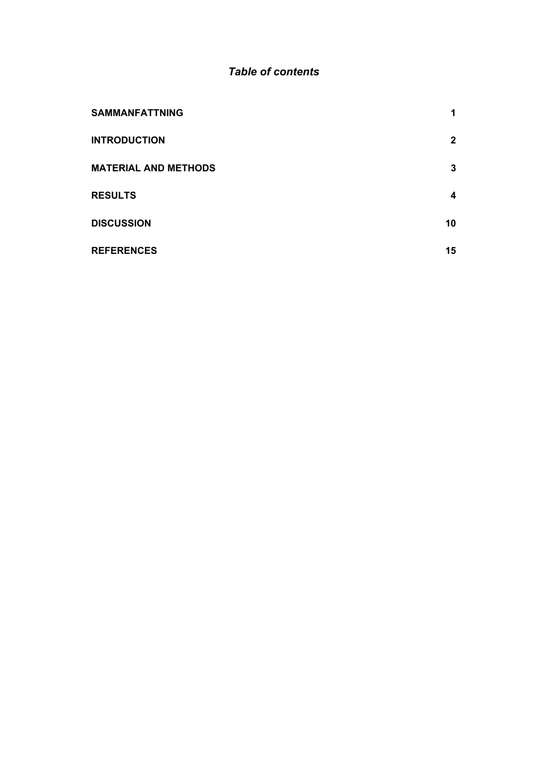# *Table of contents*

| <b>SAMMANFATTNING</b>       | 1            |
|-----------------------------|--------------|
| <b>INTRODUCTION</b>         | $\mathbf{2}$ |
| <b>MATERIAL AND METHODS</b> | 3            |
| <b>RESULTS</b>              | 4            |
| <b>DISCUSSION</b>           | 10           |
| <b>REFERENCES</b>           | 15           |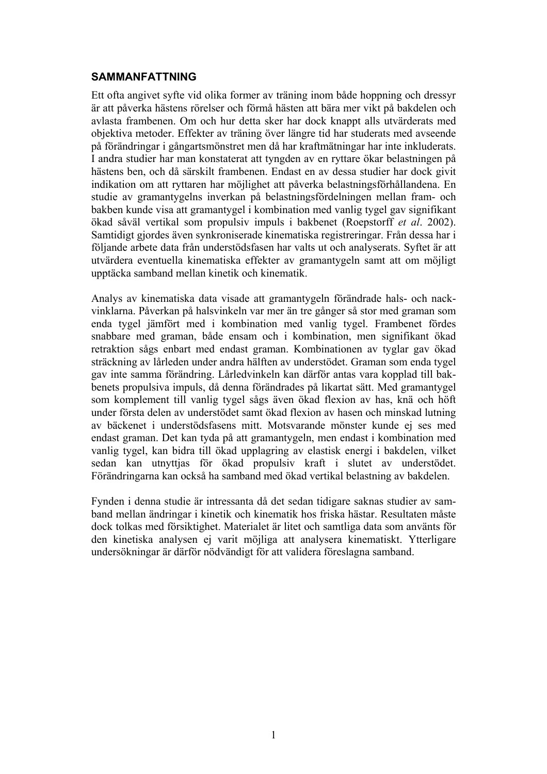## **SAMMANFATTNING**

Ett ofta angivet syfte vid olika former av träning inom både hoppning och dressyr är att påverka hästens rörelser och förmå hästen att bära mer vikt på bakdelen och avlasta frambenen. Om och hur detta sker har dock knappt alls utvärderats med objektiva metoder. Effekter av träning över längre tid har studerats med avseende på förändringar i gångartsmönstret men då har kraftmätningar har inte inkluderats. I andra studier har man konstaterat att tyngden av en ryttare ökar belastningen på hästens ben, och då särskilt frambenen. Endast en av dessa studier har dock givit indikation om att ryttaren har möjlighet att påverka belastningsförhållandena. En studie av gramantygelns inverkan på belastningsfördelningen mellan fram- och bakben kunde visa att gramantygel i kombination med vanlig tygel gav signifikant ökad såväl vertikal som propulsiv impuls i bakbenet (Roepstorff *et al*. 2002). Samtidigt gjordes även synkroniserade kinematiska registreringar. Från dessa har i följande arbete data från understödsfasen har valts ut och analyserats. Syftet är att utvärdera eventuella kinematiska effekter av gramantygeln samt att om möjligt upptäcka samband mellan kinetik och kinematik.

Analys av kinematiska data visade att gramantygeln förändrade hals- och nackvinklarna. Påverkan på halsvinkeln var mer än tre gånger så stor med graman som enda tygel jämfört med i kombination med vanlig tygel. Frambenet fördes snabbare med graman, både ensam och i kombination, men signifikant ökad retraktion sågs enbart med endast graman. Kombinationen av tyglar gav ökad sträckning av lårleden under andra hälften av understödet. Graman som enda tygel gav inte samma förändring. Lårledvinkeln kan därför antas vara kopplad till bakbenets propulsiva impuls, då denna förändrades på likartat sätt. Med gramantygel som komplement till vanlig tygel sågs även ökad flexion av has, knä och höft under första delen av understödet samt ökad flexion av hasen och minskad lutning av bäckenet i understödsfasens mitt. Motsvarande mönster kunde ej ses med endast graman. Det kan tyda på att gramantygeln, men endast i kombination med vanlig tygel, kan bidra till ökad upplagring av elastisk energi i bakdelen, vilket sedan kan utnyttjas för ökad propulsiv kraft i slutet av understödet. Förändringarna kan också ha samband med ökad vertikal belastning av bakdelen.

Fynden i denna studie är intressanta då det sedan tidigare saknas studier av samband mellan ändringar i kinetik och kinematik hos friska hästar. Resultaten måste dock tolkas med försiktighet. Materialet är litet och samtliga data som använts för den kinetiska analysen ej varit möjliga att analysera kinematiskt. Ytterligare undersökningar är därför nödvändigt för att validera föreslagna samband.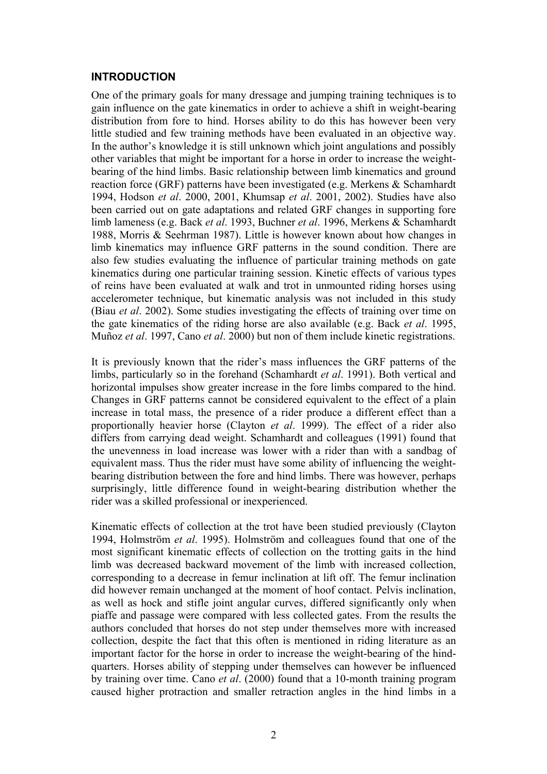#### **INTRODUCTION**

One of the primary goals for many dressage and jumping training techniques is to gain influence on the gate kinematics in order to achieve a shift in weight-bearing distribution from fore to hind. Horses ability to do this has however been very little studied and few training methods have been evaluated in an objective way. In the author's knowledge it is still unknown which joint angulations and possibly other variables that might be important for a horse in order to increase the weightbearing of the hind limbs. Basic relationship between limb kinematics and ground reaction force (GRF) patterns have been investigated (e.g. Merkens & Schamhardt 1994, Hodson *et al*. 2000, 2001, Khumsap *et al*. 2001, 2002). Studies have also been carried out on gate adaptations and related GRF changes in supporting fore limb lameness (e.g. Back *et al*. 1993, Buchner *et al*. 1996, Merkens & Schamhardt 1988, Morris & Seehrman 1987). Little is however known about how changes in limb kinematics may influence GRF patterns in the sound condition. There are also few studies evaluating the influence of particular training methods on gate kinematics during one particular training session. Kinetic effects of various types of reins have been evaluated at walk and trot in unmounted riding horses using accelerometer technique, but kinematic analysis was not included in this study (Biau *et al*. 2002). Some studies investigating the effects of training over time on the gate kinematics of the riding horse are also available (e.g. Back *et al*. 1995, Muñoz *et al*. 1997, Cano *et al*. 2000) but non of them include kinetic registrations.

It is previously known that the rider's mass influences the GRF patterns of the limbs, particularly so in the forehand (Schamhardt *et al*. 1991). Both vertical and horizontal impulses show greater increase in the fore limbs compared to the hind. Changes in GRF patterns cannot be considered equivalent to the effect of a plain increase in total mass, the presence of a rider produce a different effect than a proportionally heavier horse (Clayton *et al*. 1999). The effect of a rider also differs from carrying dead weight. Schamhardt and colleagues (1991) found that the unevenness in load increase was lower with a rider than with a sandbag of equivalent mass. Thus the rider must have some ability of influencing the weightbearing distribution between the fore and hind limbs. There was however, perhaps surprisingly, little difference found in weight-bearing distribution whether the rider was a skilled professional or inexperienced.

Kinematic effects of collection at the trot have been studied previously (Clayton 1994, Holmström *et al*. 1995). Holmström and colleagues found that one of the most significant kinematic effects of collection on the trotting gaits in the hind limb was decreased backward movement of the limb with increased collection, corresponding to a decrease in femur inclination at lift off. The femur inclination did however remain unchanged at the moment of hoof contact. Pelvis inclination, as well as hock and stifle joint angular curves, differed significantly only when piaffe and passage were compared with less collected gates. From the results the authors concluded that horses do not step under themselves more with increased collection, despite the fact that this often is mentioned in riding literature as an important factor for the horse in order to increase the weight-bearing of the hindquarters. Horses ability of stepping under themselves can however be influenced by training over time. Cano *et al*. (2000) found that a 10-month training program caused higher protraction and smaller retraction angles in the hind limbs in a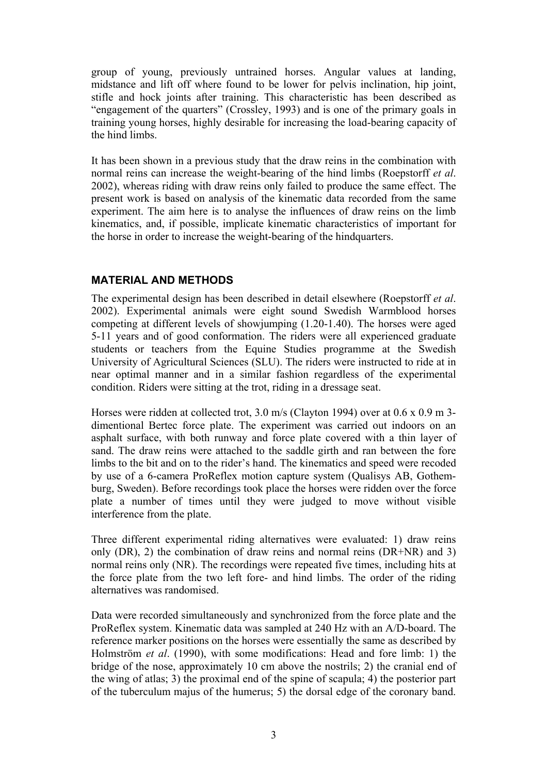group of young, previously untrained horses. Angular values at landing, midstance and lift off where found to be lower for pelvis inclination, hip joint, stifle and hock joints after training. This characteristic has been described as "engagement of the quarters" (Crossley, 1993) and is one of the primary goals in training young horses, highly desirable for increasing the load-bearing capacity of the hind limbs.

It has been shown in a previous study that the draw reins in the combination with normal reins can increase the weight-bearing of the hind limbs (Roepstorff *et al*. 2002), whereas riding with draw reins only failed to produce the same effect. The present work is based on analysis of the kinematic data recorded from the same experiment. The aim here is to analyse the influences of draw reins on the limb kinematics, and, if possible, implicate kinematic characteristics of important for the horse in order to increase the weight-bearing of the hindquarters.

## **MATERIAL AND METHODS**

The experimental design has been described in detail elsewhere (Roepstorff *et al*. 2002). Experimental animals were eight sound Swedish Warmblood horses competing at different levels of showjumping (1.20-1.40). The horses were aged 5-11 years and of good conformation. The riders were all experienced graduate students or teachers from the Equine Studies programme at the Swedish University of Agricultural Sciences (SLU). The riders were instructed to ride at in near optimal manner and in a similar fashion regardless of the experimental condition. Riders were sitting at the trot, riding in a dressage seat.

Horses were ridden at collected trot, 3.0 m/s (Clayton 1994) over at 0.6 x 0.9 m 3 dimentional Bertec force plate. The experiment was carried out indoors on an asphalt surface, with both runway and force plate covered with a thin layer of sand. The draw reins were attached to the saddle girth and ran between the fore limbs to the bit and on to the rider's hand. The kinematics and speed were recoded by use of a 6-camera ProReflex motion capture system (Qualisys AB, Gothemburg, Sweden). Before recordings took place the horses were ridden over the force plate a number of times until they were judged to move without visible interference from the plate.

Three different experimental riding alternatives were evaluated: 1) draw reins only (DR), 2) the combination of draw reins and normal reins (DR+NR) and 3) normal reins only (NR). The recordings were repeated five times, including hits at the force plate from the two left fore- and hind limbs. The order of the riding alternatives was randomised.

Data were recorded simultaneously and synchronized from the force plate and the ProReflex system. Kinematic data was sampled at 240 Hz with an A/D-board. The reference marker positions on the horses were essentially the same as described by Holmström *et al*. (1990), with some modifications: Head and fore limb: 1) the bridge of the nose, approximately 10 cm above the nostrils; 2) the cranial end of the wing of atlas; 3) the proximal end of the spine of scapula; 4) the posterior part of the tuberculum majus of the humerus; 5) the dorsal edge of the coronary band.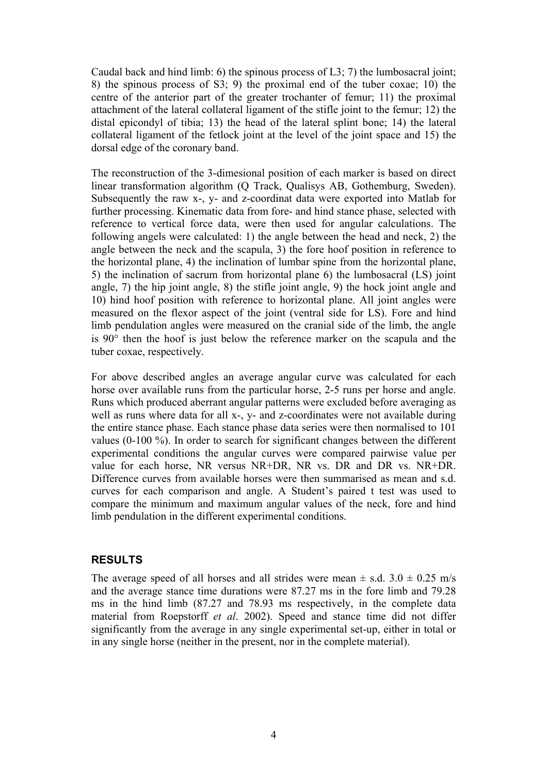Caudal back and hind limb: 6) the spinous process of L3; 7) the lumbosacral joint; 8) the spinous process of S3; 9) the proximal end of the tuber coxae; 10) the centre of the anterior part of the greater trochanter of femur; 11) the proximal attachment of the lateral collateral ligament of the stifle joint to the femur; 12) the distal epicondyl of tibia; 13) the head of the lateral splint bone; 14) the lateral collateral ligament of the fetlock joint at the level of the joint space and 15) the dorsal edge of the coronary band.

The reconstruction of the 3-dimesional position of each marker is based on direct linear transformation algorithm (Q Track, Qualisys AB, Gothemburg, Sweden). Subsequently the raw x-, y- and z-coordinat data were exported into Matlab for further processing. Kinematic data from fore- and hind stance phase, selected with reference to vertical force data, were then used for angular calculations. The following angels were calculated: 1) the angle between the head and neck, 2) the angle between the neck and the scapula, 3) the fore hoof position in reference to the horizontal plane, 4) the inclination of lumbar spine from the horizontal plane, 5) the inclination of sacrum from horizontal plane 6) the lumbosacral (LS) joint angle, 7) the hip joint angle, 8) the stifle joint angle, 9) the hock joint angle and 10) hind hoof position with reference to horizontal plane. All joint angles were measured on the flexor aspect of the joint (ventral side for LS). Fore and hind limb pendulation angles were measured on the cranial side of the limb, the angle is 90° then the hoof is just below the reference marker on the scapula and the tuber coxae, respectively.

For above described angles an average angular curve was calculated for each horse over available runs from the particular horse, 2-5 runs per horse and angle. Runs which produced aberrant angular patterns were excluded before averaging as well as runs where data for all x-, y- and z-coordinates were not available during the entire stance phase. Each stance phase data series were then normalised to 101 values (0-100 %). In order to search for significant changes between the different experimental conditions the angular curves were compared pairwise value per value for each horse, NR versus NR+DR, NR vs. DR and DR vs. NR+DR. Difference curves from available horses were then summarised as mean and s.d. curves for each comparison and angle. A Student's paired t test was used to compare the minimum and maximum angular values of the neck, fore and hind limb pendulation in the different experimental conditions.

## **RESULTS**

The average speed of all horses and all strides were mean  $\pm$  s.d. 3.0  $\pm$  0.25 m/s and the average stance time durations were 87.27 ms in the fore limb and 79.28 ms in the hind limb (87.27 and 78.93 ms respectively, in the complete data material from Roepstorff *et al*. 2002). Speed and stance time did not differ significantly from the average in any single experimental set-up, either in total or in any single horse (neither in the present, nor in the complete material).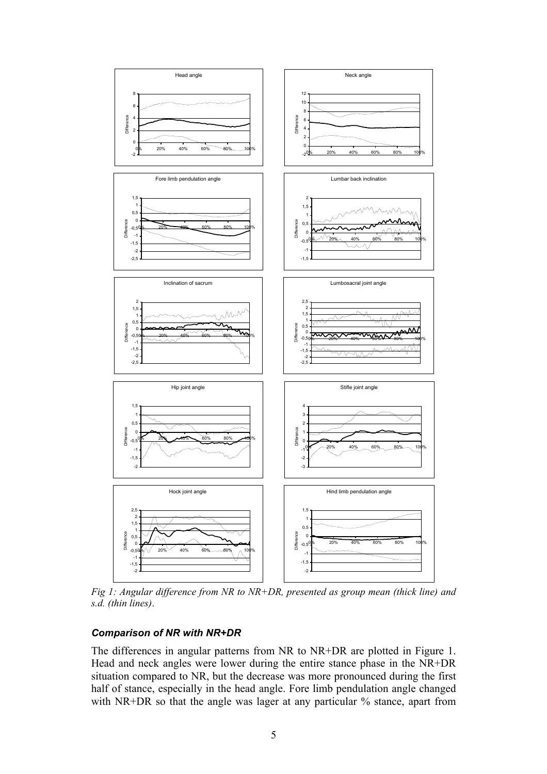

*Fig 1: Angular difference from NR to NR+DR, presented as group mean (thick line) and s.d. (thin lines)*.

## *Comparison of NR with NR+DR*

The differences in angular patterns from NR to NR+DR are plotted in Figure 1. Head and neck angles were lower during the entire stance phase in the NR+DR situation compared to NR, but the decrease was more pronounced during the first half of stance, especially in the head angle. Fore limb pendulation angle changed with NR+DR so that the angle was lager at any particular % stance, apart from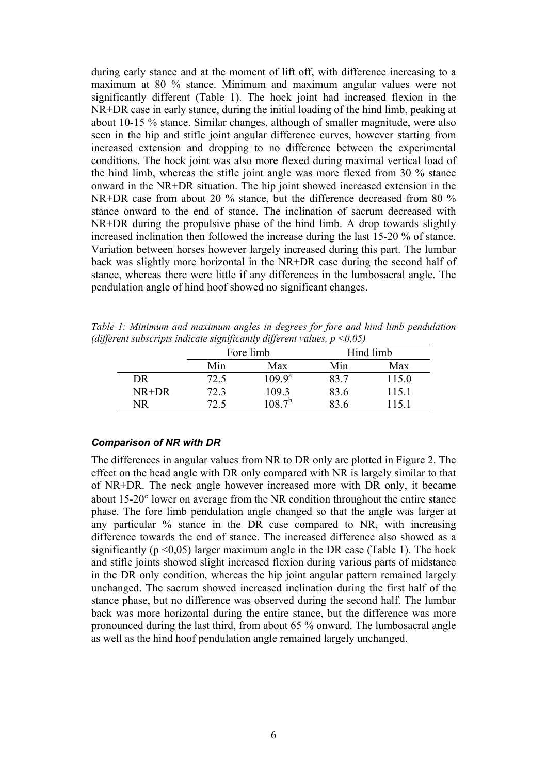during early stance and at the moment of lift off, with difference increasing to a maximum at 80 % stance. Minimum and maximum angular values were not significantly different (Table 1). The hock joint had increased flexion in the NR+DR case in early stance, during the initial loading of the hind limb, peaking at about 10-15 % stance. Similar changes, although of smaller magnitude, were also seen in the hip and stifle joint angular difference curves, however starting from increased extension and dropping to no difference between the experimental conditions. The hock joint was also more flexed during maximal vertical load of the hind limb, whereas the stifle joint angle was more flexed from 30 % stance onward in the NR+DR situation. The hip joint showed increased extension in the NR+DR case from about 20 % stance, but the difference decreased from 80 % stance onward to the end of stance. The inclination of sacrum decreased with NR+DR during the propulsive phase of the hind limb. A drop towards slightly increased inclination then followed the increase during the last 15-20 % of stance. Variation between horses however largely increased during this part. The lumbar back was slightly more horizontal in the NR+DR case during the second half of stance, whereas there were little if any differences in the lumbosacral angle. The pendulation angle of hind hoof showed no significant changes.

*Table 1: Minimum and maximum angles in degrees for fore and hind limb pendulation (different subscripts indicate significantly different values, p <0,05)* 

|         | ັ<br>້    | $\epsilon$<br>$\overline{\nu}$ | . .       |       |
|---------|-----------|--------------------------------|-----------|-------|
|         | Fore limb |                                | Hind limb |       |
|         | Min       | Max                            | Min       | Max   |
| DR      | 72.5      | $109.9^{\rm a}$                | 83.7      | 115.0 |
| $NR+DR$ | 72.3      | 109.3                          | 83.6      | 115.1 |
| NR      |           | $108.7^{b}$                    | 83 6      |       |

#### *Comparison of NR with DR*

The differences in angular values from NR to DR only are plotted in Figure 2. The effect on the head angle with DR only compared with NR is largely similar to that of NR+DR. The neck angle however increased more with DR only, it became about 15-20° lower on average from the NR condition throughout the entire stance phase. The fore limb pendulation angle changed so that the angle was larger at any particular % stance in the DR case compared to NR, with increasing difference towards the end of stance. The increased difference also showed as a significantly ( $p \le 0.05$ ) larger maximum angle in the DR case (Table 1). The hock and stifle joints showed slight increased flexion during various parts of midstance in the DR only condition, whereas the hip joint angular pattern remained largely unchanged. The sacrum showed increased inclination during the first half of the stance phase, but no difference was observed during the second half. The lumbar back was more horizontal during the entire stance, but the difference was more pronounced during the last third, from about 65 % onward. The lumbosacral angle as well as the hind hoof pendulation angle remained largely unchanged.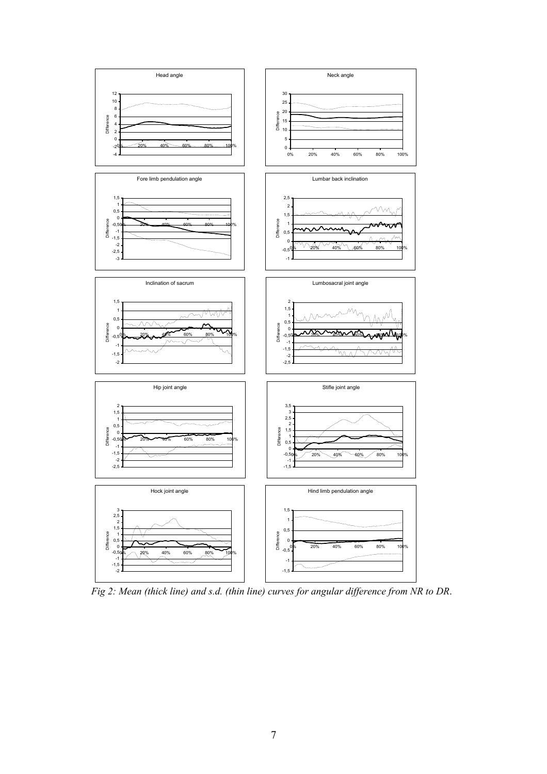

*Fig 2: Mean (thick line) and s.d. (thin line) curves for angular difference from NR to DR*.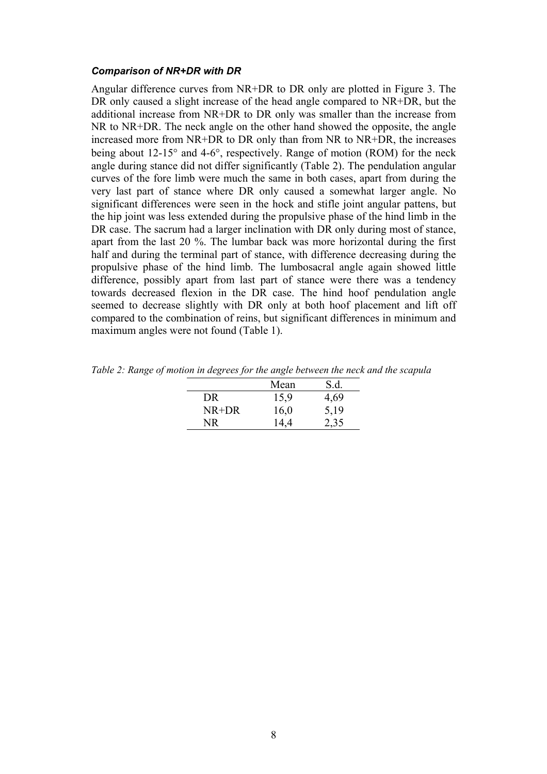#### *Comparison of NR+DR with DR*

Angular difference curves from NR+DR to DR only are plotted in Figure 3. The DR only caused a slight increase of the head angle compared to NR+DR, but the additional increase from NR+DR to DR only was smaller than the increase from NR to NR+DR. The neck angle on the other hand showed the opposite, the angle increased more from NR+DR to DR only than from NR to NR+DR, the increases being about 12-15° and 4-6°, respectively. Range of motion (ROM) for the neck angle during stance did not differ significantly (Table 2). The pendulation angular curves of the fore limb were much the same in both cases, apart from during the very last part of stance where DR only caused a somewhat larger angle. No significant differences were seen in the hock and stifle joint angular pattens, but the hip joint was less extended during the propulsive phase of the hind limb in the DR case. The sacrum had a larger inclination with DR only during most of stance. apart from the last 20 %. The lumbar back was more horizontal during the first half and during the terminal part of stance, with difference decreasing during the propulsive phase of the hind limb. The lumbosacral angle again showed little difference, possibly apart from last part of stance were there was a tendency towards decreased flexion in the DR case. The hind hoof pendulation angle seemed to decrease slightly with DR only at both hoof placement and lift off compared to the combination of reins, but significant differences in minimum and maximum angles were not found (Table 1).

|       | Mean | S.d. |
|-------|------|------|
| DR    | 15,9 | 4,69 |
| NR+DR | 16,0 | 5,19 |
| NR.   | 14,4 | 2,35 |

*Table 2: Range of motion in degrees for the angle between the neck and the scapula*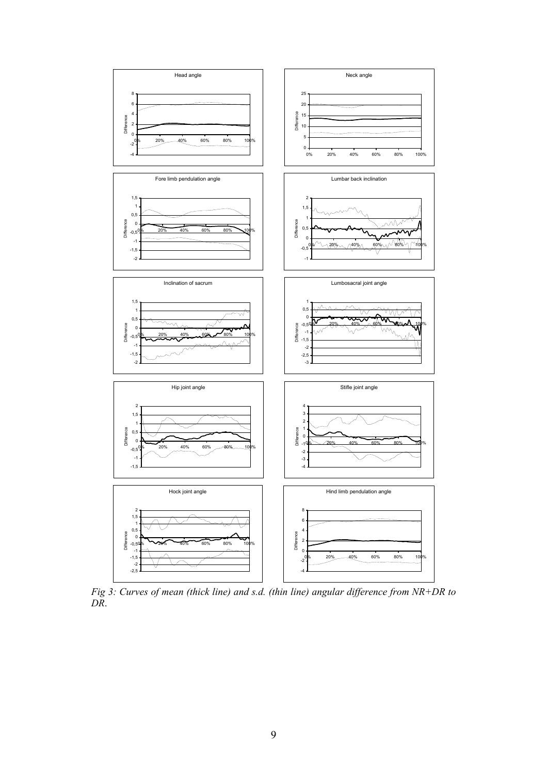

*Fig 3: Curves of mean (thick line) and s.d. (thin line) angular difference from NR+DR to DR*.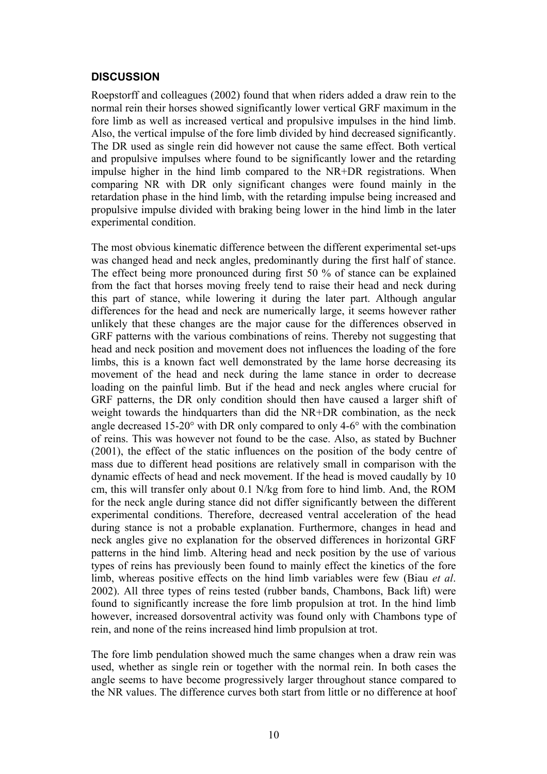## **DISCUSSION**

Roepstorff and colleagues (2002) found that when riders added a draw rein to the normal rein their horses showed significantly lower vertical GRF maximum in the fore limb as well as increased vertical and propulsive impulses in the hind limb. Also, the vertical impulse of the fore limb divided by hind decreased significantly. The DR used as single rein did however not cause the same effect. Both vertical and propulsive impulses where found to be significantly lower and the retarding impulse higher in the hind limb compared to the NR+DR registrations. When comparing NR with DR only significant changes were found mainly in the retardation phase in the hind limb, with the retarding impulse being increased and propulsive impulse divided with braking being lower in the hind limb in the later experimental condition.

The most obvious kinematic difference between the different experimental set-ups was changed head and neck angles, predominantly during the first half of stance. The effect being more pronounced during first 50 % of stance can be explained from the fact that horses moving freely tend to raise their head and neck during this part of stance, while lowering it during the later part. Although angular differences for the head and neck are numerically large, it seems however rather unlikely that these changes are the major cause for the differences observed in GRF patterns with the various combinations of reins. Thereby not suggesting that head and neck position and movement does not influences the loading of the fore limbs, this is a known fact well demonstrated by the lame horse decreasing its movement of the head and neck during the lame stance in order to decrease loading on the painful limb. But if the head and neck angles where crucial for GRF patterns, the DR only condition should then have caused a larger shift of weight towards the hindquarters than did the NR+DR combination, as the neck angle decreased 15-20° with DR only compared to only 4-6° with the combination of reins. This was however not found to be the case. Also, as stated by Buchner (2001), the effect of the static influences on the position of the body centre of mass due to different head positions are relatively small in comparison with the dynamic effects of head and neck movement. If the head is moved caudally by 10 cm, this will transfer only about 0.1 N/kg from fore to hind limb. And, the ROM for the neck angle during stance did not differ significantly between the different experimental conditions. Therefore, decreased ventral acceleration of the head during stance is not a probable explanation. Furthermore, changes in head and neck angles give no explanation for the observed differences in horizontal GRF patterns in the hind limb. Altering head and neck position by the use of various types of reins has previously been found to mainly effect the kinetics of the fore limb, whereas positive effects on the hind limb variables were few (Biau *et al*. 2002). All three types of reins tested (rubber bands, Chambons, Back lift) were found to significantly increase the fore limb propulsion at trot. In the hind limb however, increased dorsoventral activity was found only with Chambons type of rein, and none of the reins increased hind limb propulsion at trot.

The fore limb pendulation showed much the same changes when a draw rein was used, whether as single rein or together with the normal rein. In both cases the angle seems to have become progressively larger throughout stance compared to the NR values. The difference curves both start from little or no difference at hoof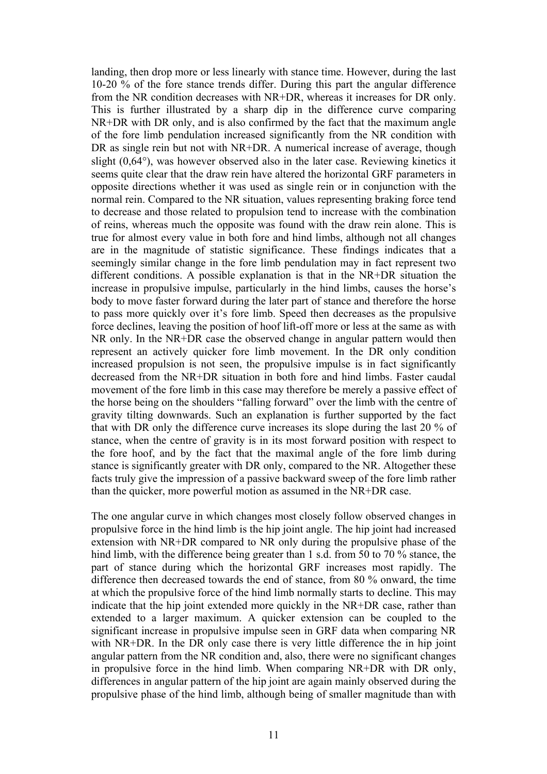landing, then drop more or less linearly with stance time. However, during the last 10-20 % of the fore stance trends differ. During this part the angular difference from the NR condition decreases with NR+DR, whereas it increases for DR only. This is further illustrated by a sharp dip in the difference curve comparing NR+DR with DR only, and is also confirmed by the fact that the maximum angle of the fore limb pendulation increased significantly from the NR condition with DR as single rein but not with NR+DR. A numerical increase of average, though slight (0,64°), was however observed also in the later case. Reviewing kinetics it seems quite clear that the draw rein have altered the horizontal GRF parameters in opposite directions whether it was used as single rein or in conjunction with the normal rein. Compared to the NR situation, values representing braking force tend to decrease and those related to propulsion tend to increase with the combination of reins, whereas much the opposite was found with the draw rein alone. This is true for almost every value in both fore and hind limbs, although not all changes are in the magnitude of statistic significance. These findings indicates that a seemingly similar change in the fore limb pendulation may in fact represent two different conditions. A possible explanation is that in the NR+DR situation the increase in propulsive impulse, particularly in the hind limbs, causes the horse's body to move faster forward during the later part of stance and therefore the horse to pass more quickly over it's fore limb. Speed then decreases as the propulsive force declines, leaving the position of hoof lift-off more or less at the same as with NR only. In the NR+DR case the observed change in angular pattern would then represent an actively quicker fore limb movement. In the DR only condition increased propulsion is not seen, the propulsive impulse is in fact significantly decreased from the NR+DR situation in both fore and hind limbs. Faster caudal movement of the fore limb in this case may therefore be merely a passive effect of the horse being on the shoulders "falling forward" over the limb with the centre of gravity tilting downwards. Such an explanation is further supported by the fact that with DR only the difference curve increases its slope during the last 20 % of stance, when the centre of gravity is in its most forward position with respect to the fore hoof, and by the fact that the maximal angle of the fore limb during stance is significantly greater with DR only, compared to the NR. Altogether these facts truly give the impression of a passive backward sweep of the fore limb rather than the quicker, more powerful motion as assumed in the NR+DR case.

The one angular curve in which changes most closely follow observed changes in propulsive force in the hind limb is the hip joint angle. The hip joint had increased extension with NR+DR compared to NR only during the propulsive phase of the hind limb, with the difference being greater than 1 s.d. from 50 to 70 % stance, the part of stance during which the horizontal GRF increases most rapidly. The difference then decreased towards the end of stance, from 80 % onward, the time at which the propulsive force of the hind limb normally starts to decline. This may indicate that the hip joint extended more quickly in the NR+DR case, rather than extended to a larger maximum. A quicker extension can be coupled to the significant increase in propulsive impulse seen in GRF data when comparing NR with NR+DR. In the DR only case there is very little difference the in hip joint angular pattern from the NR condition and, also, there were no significant changes in propulsive force in the hind limb. When comparing NR+DR with DR only, differences in angular pattern of the hip joint are again mainly observed during the propulsive phase of the hind limb, although being of smaller magnitude than with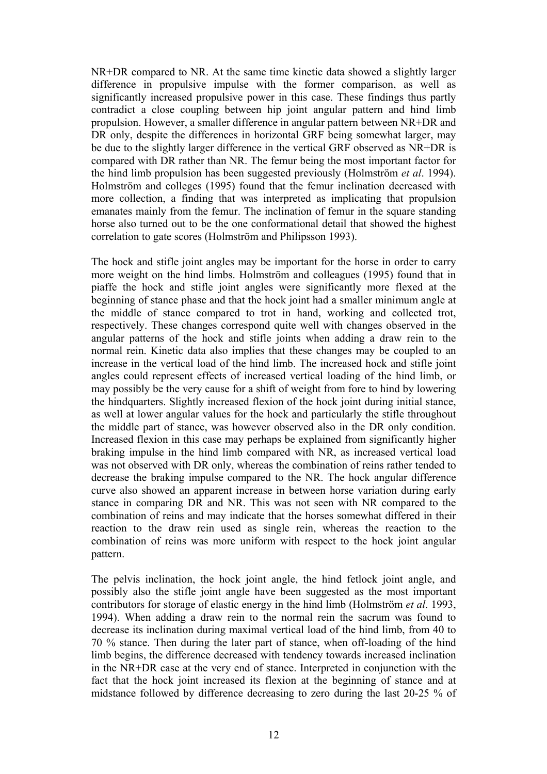NR+DR compared to NR. At the same time kinetic data showed a slightly larger difference in propulsive impulse with the former comparison, as well as significantly increased propulsive power in this case. These findings thus partly contradict a close coupling between hip joint angular pattern and hind limb propulsion. However, a smaller difference in angular pattern between NR+DR and DR only, despite the differences in horizontal GRF being somewhat larger, may be due to the slightly larger difference in the vertical GRF observed as NR+DR is compared with DR rather than NR. The femur being the most important factor for the hind limb propulsion has been suggested previously (Holmström *et al*. 1994). Holmström and colleges (1995) found that the femur inclination decreased with more collection, a finding that was interpreted as implicating that propulsion emanates mainly from the femur. The inclination of femur in the square standing horse also turned out to be the one conformational detail that showed the highest correlation to gate scores (Holmström and Philipsson 1993).

The hock and stifle joint angles may be important for the horse in order to carry more weight on the hind limbs. Holmström and colleagues (1995) found that in piaffe the hock and stifle joint angles were significantly more flexed at the beginning of stance phase and that the hock joint had a smaller minimum angle at the middle of stance compared to trot in hand, working and collected trot, respectively. These changes correspond quite well with changes observed in the angular patterns of the hock and stifle joints when adding a draw rein to the normal rein. Kinetic data also implies that these changes may be coupled to an increase in the vertical load of the hind limb. The increased hock and stifle joint angles could represent effects of increased vertical loading of the hind limb, or may possibly be the very cause for a shift of weight from fore to hind by lowering the hindquarters. Slightly increased flexion of the hock joint during initial stance, as well at lower angular values for the hock and particularly the stifle throughout the middle part of stance, was however observed also in the DR only condition. Increased flexion in this case may perhaps be explained from significantly higher braking impulse in the hind limb compared with NR, as increased vertical load was not observed with DR only, whereas the combination of reins rather tended to decrease the braking impulse compared to the NR. The hock angular difference curve also showed an apparent increase in between horse variation during early stance in comparing DR and NR. This was not seen with NR compared to the combination of reins and may indicate that the horses somewhat differed in their reaction to the draw rein used as single rein, whereas the reaction to the combination of reins was more uniform with respect to the hock joint angular pattern.

The pelvis inclination, the hock joint angle, the hind fetlock joint angle, and possibly also the stifle joint angle have been suggested as the most important contributors for storage of elastic energy in the hind limb (Holmström *et al*. 1993, 1994). When adding a draw rein to the normal rein the sacrum was found to decrease its inclination during maximal vertical load of the hind limb, from 40 to 70 % stance. Then during the later part of stance, when off-loading of the hind limb begins, the difference decreased with tendency towards increased inclination in the NR+DR case at the very end of stance. Interpreted in conjunction with the fact that the hock joint increased its flexion at the beginning of stance and at midstance followed by difference decreasing to zero during the last 20-25 % of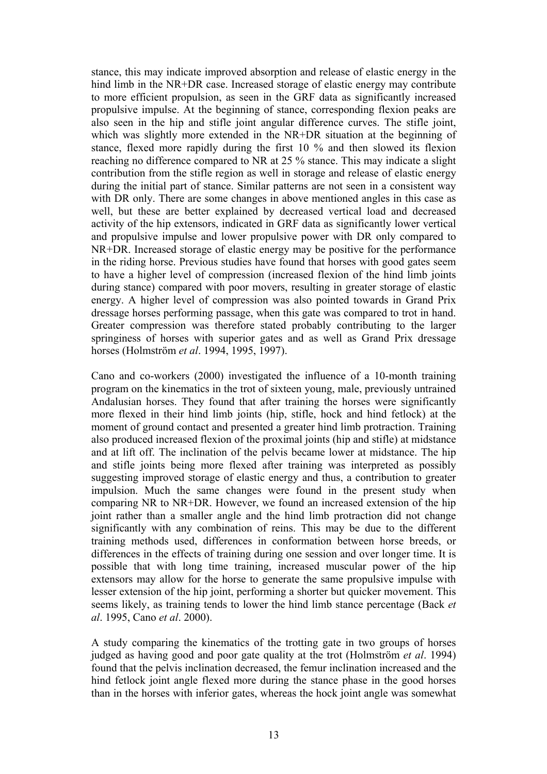stance, this may indicate improved absorption and release of elastic energy in the hind limb in the NR+DR case. Increased storage of elastic energy may contribute to more efficient propulsion, as seen in the GRF data as significantly increased propulsive impulse. At the beginning of stance, corresponding flexion peaks are also seen in the hip and stifle joint angular difference curves. The stifle joint, which was slightly more extended in the NR+DR situation at the beginning of stance, flexed more rapidly during the first 10 % and then slowed its flexion reaching no difference compared to NR at 25 % stance. This may indicate a slight contribution from the stifle region as well in storage and release of elastic energy during the initial part of stance. Similar patterns are not seen in a consistent way with DR only. There are some changes in above mentioned angles in this case as well, but these are better explained by decreased vertical load and decreased activity of the hip extensors, indicated in GRF data as significantly lower vertical and propulsive impulse and lower propulsive power with DR only compared to NR+DR. Increased storage of elastic energy may be positive for the performance in the riding horse. Previous studies have found that horses with good gates seem to have a higher level of compression (increased flexion of the hind limb joints during stance) compared with poor movers, resulting in greater storage of elastic energy. A higher level of compression was also pointed towards in Grand Prix dressage horses performing passage, when this gate was compared to trot in hand. Greater compression was therefore stated probably contributing to the larger springiness of horses with superior gates and as well as Grand Prix dressage horses (Holmström *et al*. 1994, 1995, 1997).

Cano and co-workers (2000) investigated the influence of a 10-month training program on the kinematics in the trot of sixteen young, male, previously untrained Andalusian horses. They found that after training the horses were significantly more flexed in their hind limb joints (hip, stifle, hock and hind fetlock) at the moment of ground contact and presented a greater hind limb protraction. Training also produced increased flexion of the proximal joints (hip and stifle) at midstance and at lift off. The inclination of the pelvis became lower at midstance. The hip and stifle joints being more flexed after training was interpreted as possibly suggesting improved storage of elastic energy and thus, a contribution to greater impulsion. Much the same changes were found in the present study when comparing NR to NR+DR. However, we found an increased extension of the hip joint rather than a smaller angle and the hind limb protraction did not change significantly with any combination of reins. This may be due to the different training methods used, differences in conformation between horse breeds, or differences in the effects of training during one session and over longer time. It is possible that with long time training, increased muscular power of the hip extensors may allow for the horse to generate the same propulsive impulse with lesser extension of the hip joint, performing a shorter but quicker movement. This seems likely, as training tends to lower the hind limb stance percentage (Back *et al*. 1995, Cano *et al*. 2000).

A study comparing the kinematics of the trotting gate in two groups of horses judged as having good and poor gate quality at the trot (Holmström *et al*. 1994) found that the pelvis inclination decreased, the femur inclination increased and the hind fetlock joint angle flexed more during the stance phase in the good horses than in the horses with inferior gates, whereas the hock joint angle was somewhat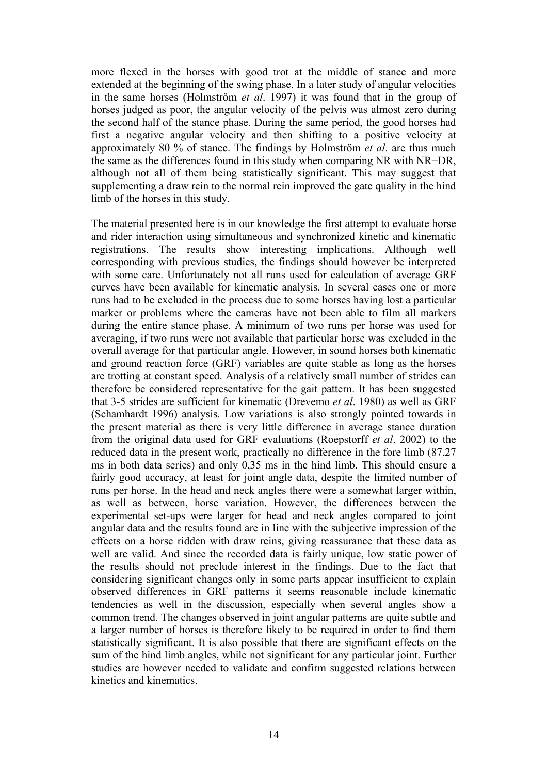more flexed in the horses with good trot at the middle of stance and more extended at the beginning of the swing phase. In a later study of angular velocities in the same horses (Holmström *et al*. 1997) it was found that in the group of horses judged as poor, the angular velocity of the pelvis was almost zero during the second half of the stance phase. During the same period, the good horses had first a negative angular velocity and then shifting to a positive velocity at approximately 80 % of stance. The findings by Holmström *et al*. are thus much the same as the differences found in this study when comparing NR with NR+DR, although not all of them being statistically significant. This may suggest that supplementing a draw rein to the normal rein improved the gate quality in the hind limb of the horses in this study.

The material presented here is in our knowledge the first attempt to evaluate horse and rider interaction using simultaneous and synchronized kinetic and kinematic registrations. The results show interesting implications. Although well corresponding with previous studies, the findings should however be interpreted with some care. Unfortunately not all runs used for calculation of average GRF curves have been available for kinematic analysis. In several cases one or more runs had to be excluded in the process due to some horses having lost a particular marker or problems where the cameras have not been able to film all markers during the entire stance phase. A minimum of two runs per horse was used for averaging, if two runs were not available that particular horse was excluded in the overall average for that particular angle. However, in sound horses both kinematic and ground reaction force (GRF) variables are quite stable as long as the horses are trotting at constant speed. Analysis of a relatively small number of strides can therefore be considered representative for the gait pattern. It has been suggested that 3-5 strides are sufficient for kinematic (Drevemo *et al*. 1980) as well as GRF (Schamhardt 1996) analysis. Low variations is also strongly pointed towards in the present material as there is very little difference in average stance duration from the original data used for GRF evaluations (Roepstorff *et al*. 2002) to the reduced data in the present work, practically no difference in the fore limb (87,27 ms in both data series) and only 0,35 ms in the hind limb. This should ensure a fairly good accuracy, at least for joint angle data, despite the limited number of runs per horse. In the head and neck angles there were a somewhat larger within, as well as between, horse variation. However, the differences between the experimental set-ups were larger for head and neck angles compared to joint angular data and the results found are in line with the subjective impression of the effects on a horse ridden with draw reins, giving reassurance that these data as well are valid. And since the recorded data is fairly unique, low static power of the results should not preclude interest in the findings. Due to the fact that considering significant changes only in some parts appear insufficient to explain observed differences in GRF patterns it seems reasonable include kinematic tendencies as well in the discussion, especially when several angles show a common trend. The changes observed in joint angular patterns are quite subtle and a larger number of horses is therefore likely to be required in order to find them statistically significant. It is also possible that there are significant effects on the sum of the hind limb angles, while not significant for any particular joint. Further studies are however needed to validate and confirm suggested relations between kinetics and kinematics.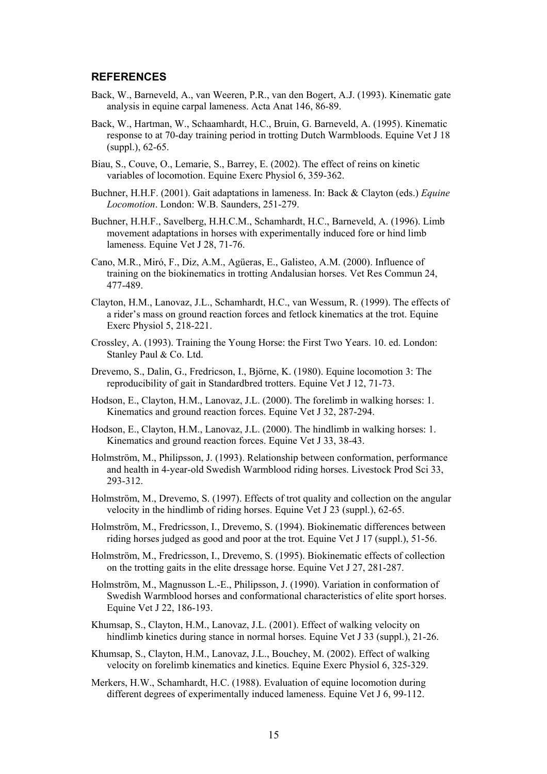#### **REFERENCES**

- Back, W., Barneveld, A., van Weeren, P.R., van den Bogert, A.J. (1993). Kinematic gate analysis in equine carpal lameness. Acta Anat 146, 86-89.
- Back, W., Hartman, W., Schaamhardt, H.C., Bruin, G. Barneveld, A. (1995). Kinematic response to at 70-day training period in trotting Dutch Warmbloods. Equine Vet J 18 (suppl.), 62-65.
- Biau, S., Couve, O., Lemarie, S., Barrey, E. (2002). The effect of reins on kinetic variables of locomotion. Equine Exerc Physiol 6, 359-362.
- Buchner, H.H.F. (2001). Gait adaptations in lameness. In: Back & Clayton (eds.) *Equine Locomotion*. London: W.B. Saunders, 251-279.
- Buchner, H.H.F., Savelberg, H.H.C.M., Schamhardt, H.C., Barneveld, A. (1996). Limb movement adaptations in horses with experimentally induced fore or hind limb lameness. Equine Vet J 28, 71-76.
- Cano, M.R., Miró, F., Diz, A.M., Agüeras, E., Galisteo, A.M. (2000). Influence of training on the biokinematics in trotting Andalusian horses. Vet Res Commun 24, 477-489.
- Clayton, H.M., Lanovaz, J.L., Schamhardt, H.C., van Wessum, R. (1999). The effects of a rider's mass on ground reaction forces and fetlock kinematics at the trot. Equine Exerc Physiol 5, 218-221.
- Crossley, A. (1993). Training the Young Horse: the First Two Years. 10. ed. London: Stanley Paul & Co. Ltd.
- Drevemo, S., Dalin, G., Fredricson, I., Björne, K. (1980). Equine locomotion 3: The reproducibility of gait in Standardbred trotters. Equine Vet J 12, 71-73.
- Hodson, E., Clayton, H.M., Lanovaz, J.L. (2000). The forelimb in walking horses: 1. Kinematics and ground reaction forces. Equine Vet J 32, 287-294.
- Hodson, E., Clayton, H.M., Lanovaz, J.L. (2000). The hindlimb in walking horses: 1. Kinematics and ground reaction forces. Equine Vet J 33, 38-43.
- Holmström, M., Philipsson, J. (1993). Relationship between conformation, performance and health in 4-year-old Swedish Warmblood riding horses. Livestock Prod Sci 33, 293-312.
- Holmström, M., Drevemo, S. (1997). Effects of trot quality and collection on the angular velocity in the hindlimb of riding horses. Equine Vet J 23 (suppl.), 62-65.
- Holmström, M., Fredricsson, I., Drevemo, S. (1994). Biokinematic differences between riding horses judged as good and poor at the trot. Equine Vet J 17 (suppl.), 51-56.
- Holmström, M., Fredricsson, I., Drevemo, S. (1995). Biokinematic effects of collection on the trotting gaits in the elite dressage horse. Equine Vet J 27, 281-287.
- Holmström, M., Magnusson L.-E., Philipsson, J. (1990). Variation in conformation of Swedish Warmblood horses and conformational characteristics of elite sport horses. Equine Vet J 22, 186-193.
- Khumsap, S., Clayton, H.M., Lanovaz, J.L. (2001). Effect of walking velocity on hindlimb kinetics during stance in normal horses. Equine Vet J 33 (suppl.), 21-26.
- Khumsap, S., Clayton, H.M., Lanovaz, J.L., Bouchey, M. (2002). Effect of walking velocity on forelimb kinematics and kinetics. Equine Exerc Physiol 6, 325-329.
- Merkers, H.W., Schamhardt, H.C. (1988). Evaluation of equine locomotion during different degrees of experimentally induced lameness. Equine Vet J 6, 99-112.